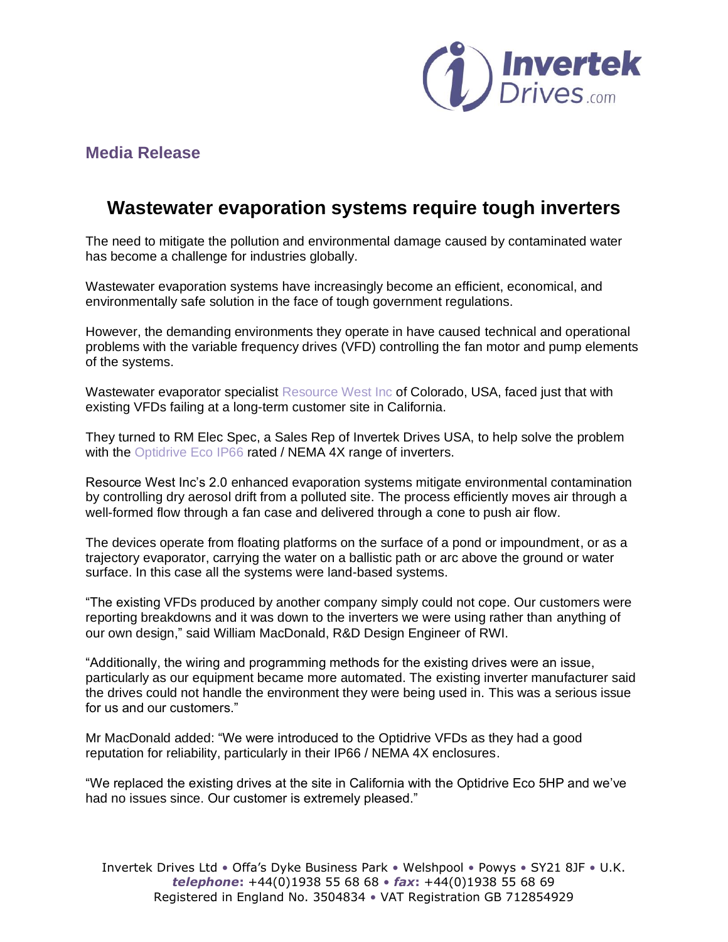

# **Media Release**

# **Wastewater evaporation systems require tough inverters**

The need to mitigate the pollution and environmental damage caused by contaminated water has become a challenge for industries globally.

Wastewater evaporation systems have increasingly become an efficient, economical, and environmentally safe solution in the face of tough government regulations.

However, the demanding environments they operate in have caused technical and operational problems with the variable frequency drives (VFD) controlling the fan motor and pump elements of the systems.

Wastewater evaporator specialist [Resource West Inc](https://www.resourcewest.com/evaporators/) of Colorado, USA, faced just that with existing VFDs failing at a long-term customer site in California.

They turned to RM Elec Spec, a Sales Rep of Invertek Drives USA, to help solve the problem with the [Optidrive Eco IP66](https://www.invertekdrives.com/variable-frequency-drives/optidrive-eco) rated / NEMA 4X range of inverters.

Resource West Inc's 2.0 enhanced evaporation systems mitigate environmental contamination by controlling dry aerosol drift from a polluted site. The process efficiently moves air through a well-formed flow through a fan case and delivered through a cone to push air flow.

The devices operate from floating platforms on the surface of a pond or impoundment, or as a trajectory evaporator, carrying the water on a ballistic path or arc above the ground or water surface. In this case all the systems were land-based systems.

"The existing VFDs produced by another company simply could not cope. Our customers were reporting breakdowns and it was down to the inverters we were using rather than anything of our own design," said William MacDonald, R&D Design Engineer of RWI.

"Additionally, the wiring and programming methods for the existing drives were an issue, particularly as our equipment became more automated. The existing inverter manufacturer said the drives could not handle the environment they were being used in. This was a serious issue for us and our customers."

Mr MacDonald added: "We were introduced to the Optidrive VFDs as they had a good reputation for reliability, particularly in their IP66 / NEMA 4X enclosures.

"We replaced the existing drives at the site in California with the Optidrive Eco 5HP and we've had no issues since. Our customer is extremely pleased."

Invertek Drives Ltd • Offa's Dyke Business Park • Welshpool • Powys • SY21 8JF • U.K. *telephone***:** +44(0)1938 55 68 68 • *fax***:** +44(0)1938 55 68 69 Registered in England No. 3504834 • VAT Registration GB 712854929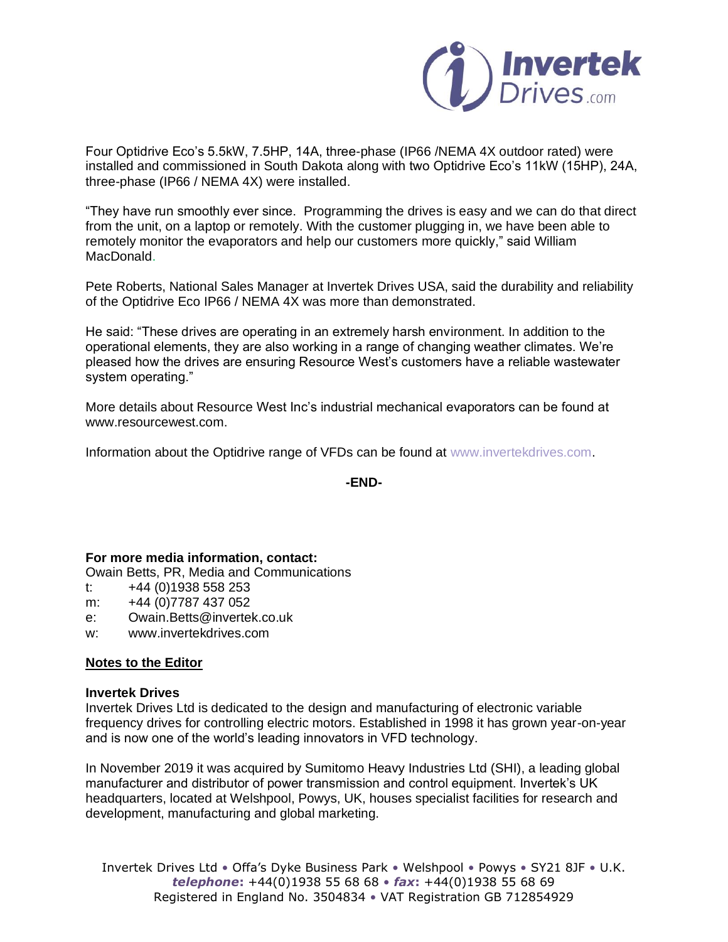

Four Optidrive Eco's 5.5kW, 7.5HP, 14A, three-phase (IP66 /NEMA 4X outdoor rated) were installed and commissioned in South Dakota along with two Optidrive Eco's 11kW (15HP), 24A, three-phase (IP66 / NEMA 4X) were installed.

"They have run smoothly ever since. Programming the drives is easy and we can do that direct from the unit, on a laptop or remotely. With the customer plugging in, we have been able to remotely monitor the evaporators and help our customers more quickly," said William MacDonald.

Pete Roberts, National Sales Manager at Invertek Drives USA, said the durability and reliability of the Optidrive Eco IP66 / NEMA 4X was more than demonstrated.

He said: "These drives are operating in an extremely harsh environment. In addition to the operational elements, they are also working in a range of changing weather climates. We're pleased how the drives are ensuring Resource West's customers have a reliable wastewater system operating."

More details about Resource West Inc's industrial mechanical evaporators can be found at www.resourcewest.com.

Information about the Optidrive range of VFDs can be found at [www.invertekdrives.com.](http://www.invertekdrives.com/)

**-END-**

## **For more media information, contact:**

Owain Betts, PR, Media and Communications

- t:  $+44(0)1938558253$
- m: +44 (0)7787 437 052
- e: Owain.Betts@invertek.co.uk
- w: www.invertekdrives.com

### **Notes to the Editor**

### **Invertek Drives**

Invertek Drives Ltd is dedicated to the design and manufacturing of electronic variable frequency drives for controlling electric motors. Established in 1998 it has grown year-on-year and is now one of the world's leading innovators in VFD technology.

In November 2019 it was acquired by Sumitomo Heavy Industries Ltd (SHI), a leading global manufacturer and distributor of power transmission and control equipment. Invertek's UK headquarters, located at Welshpool, Powys, UK, houses specialist facilities for research and development, manufacturing and global marketing.

Invertek Drives Ltd • Offa's Dyke Business Park • Welshpool • Powys • SY21 8JF • U.K. *telephone***:** +44(0)1938 55 68 68 • *fax***:** +44(0)1938 55 68 69 Registered in England No. 3504834 • VAT Registration GB 712854929